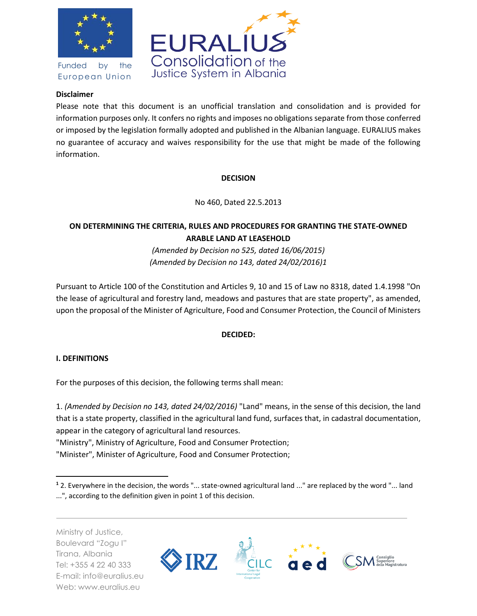

Funded by the European Union



## **Disclaimer**

Please note that this document is an unofficial translation and consolidation and is provided for information purposes only. It confers no rights and imposes no obligations separate from those conferred or imposed by the legislation formally adopted and published in the Albanian language. EURALIUS makes no guarantee of accuracy and waives responsibility for the use that might be made of the following information.

## **DECISION**

No 460, Dated 22.5.2013

# **ON DETERMINING THE CRITERIA, RULES AND PROCEDURES FOR GRANTING THE STATE-OWNED ARABLE LAND AT LEASEHOLD**

*(Amended by Decision no 525, dated 16/06/2015) (Amended by Decision no 143, dated 24/02/2016)1*

Pursuant to Article 100 of the Constitution and Articles 9, 10 and 15 of Law no 8318, dated 1.4.1998 "On the lease of agricultural and forestry land, meadows and pastures that are state property", as amended, upon the proposal of the Minister of Agriculture, Food and Consumer Protection, the Council of Ministers

# **DECIDED:**

# **I. DEFINITIONS**

 $\overline{\phantom{a}}$ 

For the purposes of this decision, the following terms shall mean:

1. *(Amended by Decision no 143, dated 24/02/2016)* "Land" means, in the sense of this decision, the land that is a state property, classified in the agricultural land fund, surfaces that, in cadastral documentation, appear in the category of agricultural land resources.

"Ministry", Ministry of Agriculture, Food and Consumer Protection;

"Minister", Minister of Agriculture, Food and Consumer Protection;

Ministry of Justice, Boulevard "Zogu I" Tirana, Albania Tel: +355 4 22 40 333 E-mail: info@euralius.eu Web: www.euralius.eu



**<sup>1</sup>** 2. Everywhere in the decision, the words "... state-owned agricultural land ..." are replaced by the word "... land ...", according to the definition given in point 1 of this decision.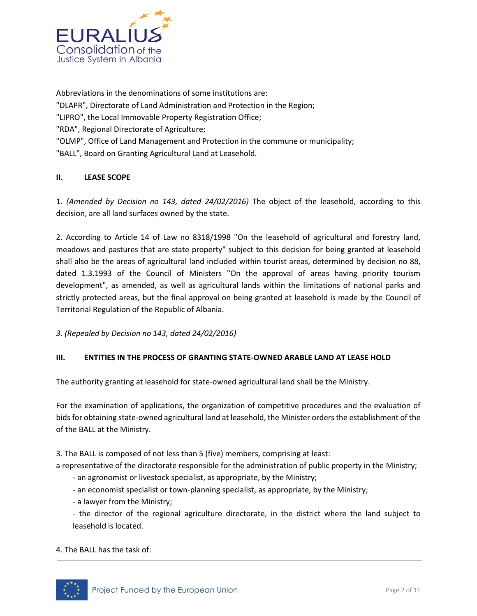

Abbreviations in the denominations of some institutions are: "DLAPR", Directorate of Land Administration and Protection in the Region; "LIPRO", the Local Immovable Property Registration Office; "RDA", Regional Directorate of Agriculture; "OLMP", Office of Land Management and Protection in the commune or municipality; "BALL", Board on Granting Agricultural Land at Leasehold.

## **II. LEASE SCOPE**

1. *(Amended by Decision no 143, dated 24/02/2016)* The object of the leasehold, according to this decision, are all land surfaces owned by the state.

2. According to Article 14 of Law no 8318/1998 "On the leasehold of agricultural and forestry land, meadows and pastures that are state property" subject to this decision for being granted at leasehold shall also be the areas of agricultural land included within tourist areas, determined by decision no 88, dated 1.3.1993 of the Council of Ministers "On the approval of areas having priority tourism development", as amended, as well as agricultural lands within the limitations of national parks and strictly protected areas, but the final approval on being granted at leasehold is made by the Council of Territorial Regulation of the Republic of Albania.

*3. (Repealed by Decision no 143, dated 24/02/2016)*

#### **III. ENTITIES IN THE PROCESS OF GRANTING STATE-OWNED ARABLE LAND AT LEASE HOLD**

The authority granting at leasehold for state-owned agricultural land shall be the Ministry.

For the examination of applications, the organization of competitive procedures and the evaluation of bids for obtaining state-owned agricultural land at leasehold, the Minister orders the establishment of the of the BALL at the Ministry.

3. The BALL is composed of not less than 5 (five) members, comprising at least:

a representative of the directorate responsible for the administration of public property in the Ministry;

- an agronomist or livestock specialist, as appropriate, by the Ministry;
- an economist specialist or town-planning specialist, as appropriate, by the Ministry;
- a lawyer from the Ministry;
- the director of the regional agriculture directorate, in the district where the land subject to leasehold is located.

4. The BALL has the task of:

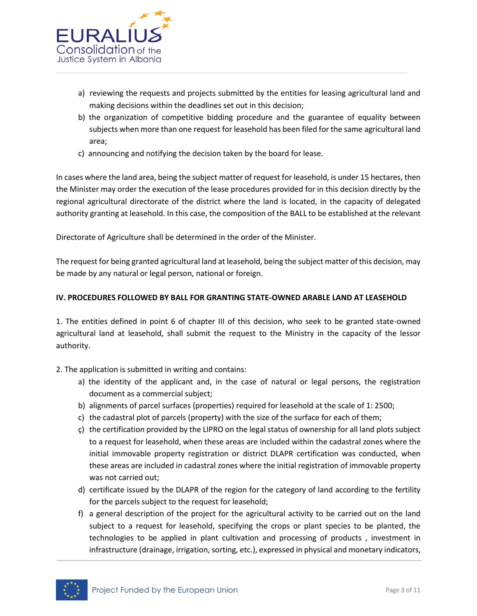

- a) reviewing the requests and projects submitted by the entities for leasing agricultural land and making decisions within the deadlines set out in this decision;
- b) the organization of competitive bidding procedure and the guarantee of equality between subjects when more than one request for leasehold has been filed for the same agricultural land area;
- c) announcing and notifying the decision taken by the board for lease.

In cases where the land area, being the subject matter of request for leasehold, is under 15 hectares, then the Minister may order the execution of the lease procedures provided for in this decision directly by the regional agricultural directorate of the district where the land is located, in the capacity of delegated authority granting at leasehold. In this case, the composition of the BALL to be established at the relevant

Directorate of Agriculture shall be determined in the order of the Minister.

The request for being granted agricultural land at leasehold, being the subject matter of this decision, may be made by any natural or legal person, national or foreign.

## **IV. PROCEDURES FOLLOWED BY BALL FOR GRANTING STATE-OWNED ARABLE LAND AT LEASEHOLD**

1. The entities defined in point 6 of chapter III of this decision, who seek to be granted state-owned agricultural land at leasehold, shall submit the request to the Ministry in the capacity of the lessor authority.

- 2. The application is submitted in writing and contains:
	- a) the identity of the applicant and, in the case of natural or legal persons, the registration document as a commercial subject;
	- b) alignments of parcel surfaces (properties) required for leasehold at the scale of 1: 2500;
	- c) the cadastral plot of parcels (property) with the size of the surface for each of them;
	- ç) the certification provided by the LIPRO on the legal status of ownership for all land plots subject to a request for leasehold, when these areas are included within the cadastral zones where the initial immovable property registration or district DLAPR certification was conducted, when these areas are included in cadastral zones where the initial registration of immovable property was not carried out;
	- d) certificate issued by the DLAPR of the region for the category of land according to the fertility for the parcels subject to the request for leasehold;
	- f) a general description of the project for the agricultural activity to be carried out on the land subject to a request for leasehold, specifying the crops or plant species to be planted, the technologies to be applied in plant cultivation and processing of products , investment in infrastructure (drainage, irrigation, sorting, etc.), expressed in physical and monetary indicators,

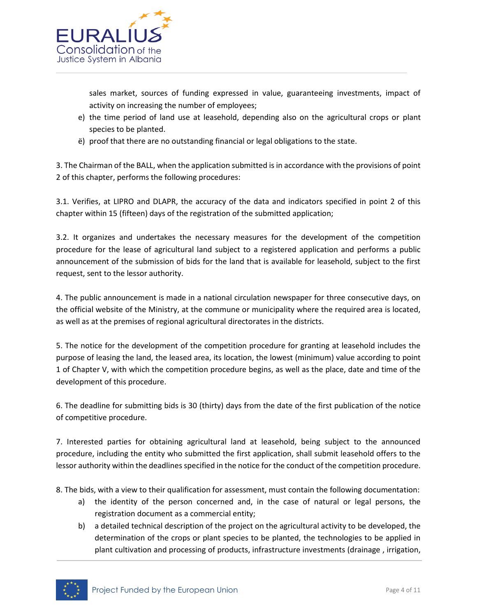

sales market, sources of funding expressed in value, guaranteeing investments, impact of activity on increasing the number of employees;

- e) the time period of land use at leasehold, depending also on the agricultural crops or plant species to be planted.
- ë) proof that there are no outstanding financial or legal obligations to the state.

3. The Chairman of the BALL, when the application submitted is in accordance with the provisions of point 2 of this chapter, performs the following procedures:

3.1. Verifies, at LIPRO and DLAPR, the accuracy of the data and indicators specified in point 2 of this chapter within 15 (fifteen) days of the registration of the submitted application;

3.2. It organizes and undertakes the necessary measures for the development of the competition procedure for the lease of agricultural land subject to a registered application and performs a public announcement of the submission of bids for the land that is available for leasehold, subject to the first request, sent to the lessor authority.

4. The public announcement is made in a national circulation newspaper for three consecutive days, on the official website of the Ministry, at the commune or municipality where the required area is located, as well as at the premises of regional agricultural directorates in the districts.

5. The notice for the development of the competition procedure for granting at leasehold includes the purpose of leasing the land, the leased area, its location, the lowest (minimum) value according to point 1 of Chapter V, with which the competition procedure begins, as well as the place, date and time of the development of this procedure.

6. The deadline for submitting bids is 30 (thirty) days from the date of the first publication of the notice of competitive procedure.

7. Interested parties for obtaining agricultural land at leasehold, being subject to the announced procedure, including the entity who submitted the first application, shall submit leasehold offers to the lessor authority within the deadlines specified in the notice for the conduct of the competition procedure.

8. The bids, with a view to their qualification for assessment, must contain the following documentation:

- a) the identity of the person concerned and, in the case of natural or legal persons, the registration document as a commercial entity;
- b) a detailed technical description of the project on the agricultural activity to be developed, the determination of the crops or plant species to be planted, the technologies to be applied in plant cultivation and processing of products, infrastructure investments (drainage , irrigation,

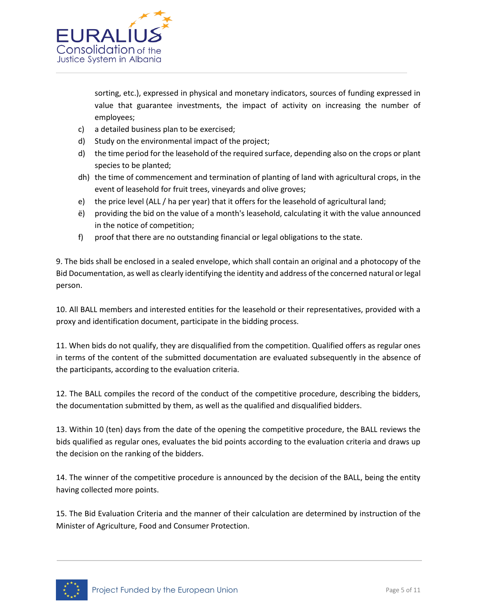

sorting, etc.), expressed in physical and monetary indicators, sources of funding expressed in value that guarantee investments, the impact of activity on increasing the number of employees;

- c) a detailed business plan to be exercised;
- d) Study on the environmental impact of the project;
- d) the time period for the leasehold of the required surface, depending also on the crops or plant species to be planted;
- dh) the time of commencement and termination of planting of land with agricultural crops, in the event of leasehold for fruit trees, vineyards and olive groves;
- e) the price level (ALL / ha per year) that it offers for the leasehold of agricultural land;
- ë) providing the bid on the value of a month's leasehold, calculating it with the value announced in the notice of competition;
- f) proof that there are no outstanding financial or legal obligations to the state.

9. The bids shall be enclosed in a sealed envelope, which shall contain an original and a photocopy of the Bid Documentation, as well as clearly identifying the identity and address of the concerned natural or legal person.

10. All BALL members and interested entities for the leasehold or their representatives, provided with a proxy and identification document, participate in the bidding process.

11. When bids do not qualify, they are disqualified from the competition. Qualified offers as regular ones in terms of the content of the submitted documentation are evaluated subsequently in the absence of the participants, according to the evaluation criteria.

12. The BALL compiles the record of the conduct of the competitive procedure, describing the bidders, the documentation submitted by them, as well as the qualified and disqualified bidders.

13. Within 10 (ten) days from the date of the opening the competitive procedure, the BALL reviews the bids qualified as regular ones, evaluates the bid points according to the evaluation criteria and draws up the decision on the ranking of the bidders.

14. The winner of the competitive procedure is announced by the decision of the BALL, being the entity having collected more points.

15. The Bid Evaluation Criteria and the manner of their calculation are determined by instruction of the Minister of Agriculture, Food and Consumer Protection.

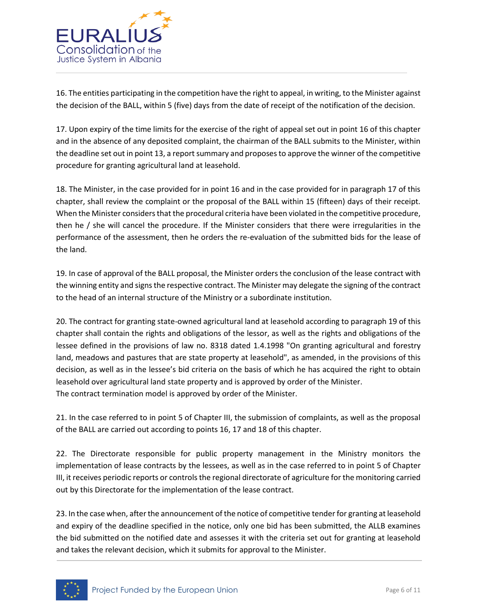

16. The entities participating in the competition have the right to appeal, in writing, to the Minister against the decision of the BALL, within 5 (five) days from the date of receipt of the notification of the decision.

17. Upon expiry of the time limits for the exercise of the right of appeal set out in point 16 of this chapter and in the absence of any deposited complaint, the chairman of the BALL submits to the Minister, within the deadline set out in point 13, a report summary and proposes to approve the winner of the competitive procedure for granting agricultural land at leasehold.

18. The Minister, in the case provided for in point 16 and in the case provided for in paragraph 17 of this chapter, shall review the complaint or the proposal of the BALL within 15 (fifteen) days of their receipt. When the Minister considers that the procedural criteria have been violated in the competitive procedure, then he / she will cancel the procedure. If the Minister considers that there were irregularities in the performance of the assessment, then he orders the re-evaluation of the submitted bids for the lease of the land.

19. In case of approval of the BALL proposal, the Minister orders the conclusion of the lease contract with the winning entity and signs the respective contract. The Minister may delegate the signing of the contract to the head of an internal structure of the Ministry or a subordinate institution.

20. The contract for granting state-owned agricultural land at leasehold according to paragraph 19 of this chapter shall contain the rights and obligations of the lessor, as well as the rights and obligations of the lessee defined in the provisions of law no. 8318 dated 1.4.1998 "On granting agricultural and forestry land, meadows and pastures that are state property at leasehold", as amended, in the provisions of this decision, as well as in the lessee's bid criteria on the basis of which he has acquired the right to obtain leasehold over agricultural land state property and is approved by order of the Minister. The contract termination model is approved by order of the Minister.

21. In the case referred to in point 5 of Chapter III, the submission of complaints, as well as the proposal of the BALL are carried out according to points 16, 17 and 18 of this chapter.

22. The Directorate responsible for public property management in the Ministry monitors the implementation of lease contracts by the lessees, as well as in the case referred to in point 5 of Chapter III, it receives periodic reports or controls the regional directorate of agriculture for the monitoring carried out by this Directorate for the implementation of the lease contract.

23. In the case when, after the announcement of the notice of competitive tender for granting at leasehold and expiry of the deadline specified in the notice, only one bid has been submitted, the ALLB examines the bid submitted on the notified date and assesses it with the criteria set out for granting at leasehold and takes the relevant decision, which it submits for approval to the Minister.

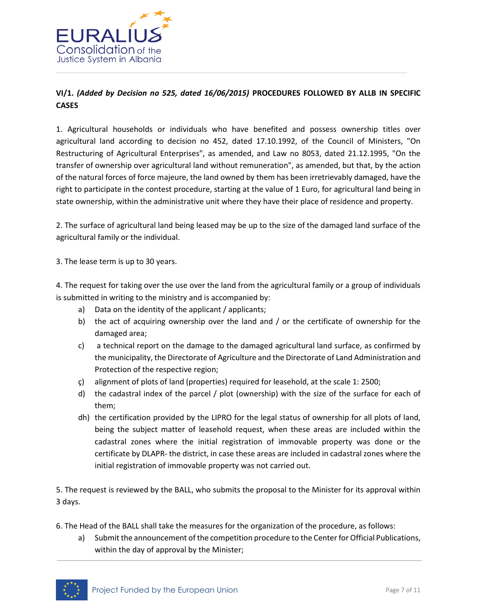

# **VI/1.** *(Added by Decision no 525, dated 16/06/2015)* **PROCEDURES FOLLOWED BY ALLB IN SPECIFIC CASES**

1. Agricultural households or individuals who have benefited and possess ownership titles over agricultural land according to decision no 452, dated 17.10.1992, of the Council of Ministers, "On Restructuring of Agricultural Enterprises", as amended, and Law no 8053, dated 21.12.1995, "On the transfer of ownership over agricultural land without remuneration", as amended, but that, by the action of the natural forces of force majeure, the land owned by them has been irretrievably damaged, have the right to participate in the contest procedure, starting at the value of 1 Euro, for agricultural land being in state ownership, within the administrative unit where they have their place of residence and property.

2. The surface of agricultural land being leased may be up to the size of the damaged land surface of the agricultural family or the individual.

3. The lease term is up to 30 years.

4. The request for taking over the use over the land from the agricultural family or a group of individuals is submitted in writing to the ministry and is accompanied by:

- a) Data on the identity of the applicant / applicants;
- b) the act of acquiring ownership over the land and / or the certificate of ownership for the damaged area;
- c) a technical report on the damage to the damaged agricultural land surface, as confirmed by the municipality, the Directorate of Agriculture and the Directorate of Land Administration and Protection of the respective region;
- ç) alignment of plots of land (properties) required for leasehold, at the scale 1: 2500;
- d) the cadastral index of the parcel / plot (ownership) with the size of the surface for each of them;
- dh) the certification provided by the LIPRO for the legal status of ownership for all plots of land, being the subject matter of leasehold request, when these areas are included within the cadastral zones where the initial registration of immovable property was done or the certificate by DLAPR- the district, in case these areas are included in cadastral zones where the initial registration of immovable property was not carried out.

5. The request is reviewed by the BALL, who submits the proposal to the Minister for its approval within 3 days.

- 6. The Head of the BALL shall take the measures for the organization of the procedure, as follows:
	- a) Submit the announcement of the competition procedure to the Center for Official Publications, within the day of approval by the Minister;

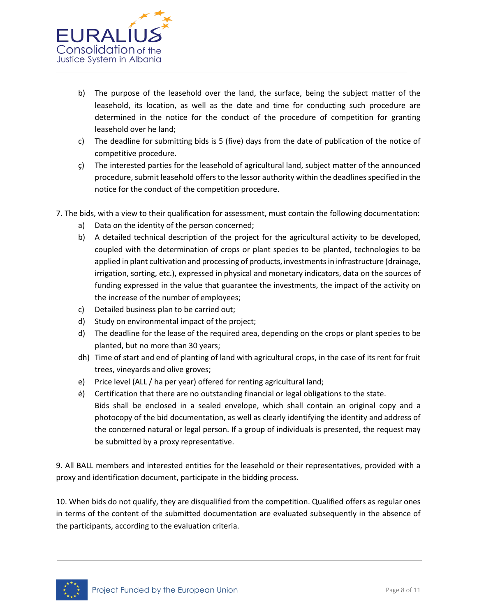

- b) The purpose of the leasehold over the land, the surface, being the subject matter of the leasehold, its location, as well as the date and time for conducting such procedure are determined in the notice for the conduct of the procedure of competition for granting leasehold over he land;
- c) The deadline for submitting bids is 5 (five) days from the date of publication of the notice of competitive procedure.
- ç) The interested parties for the leasehold of agricultural land, subject matter of the announced procedure, submit leasehold offers to the lessor authority within the deadlines specified in the notice for the conduct of the competition procedure.
- 7. The bids, with a view to their qualification for assessment, must contain the following documentation:
	- a) Data on the identity of the person concerned;
	- b) A detailed technical description of the project for the agricultural activity to be developed, coupled with the determination of crops or plant species to be planted, technologies to be applied in plant cultivation and processing of products, investments in infrastructure (drainage, irrigation, sorting, etc.), expressed in physical and monetary indicators, data on the sources of funding expressed in the value that guarantee the investments, the impact of the activity on the increase of the number of employees;
	- c) Detailed business plan to be carried out;
	- d) Study on environmental impact of the project;
	- d) The deadline for the lease of the required area, depending on the crops or plant species to be planted, but no more than 30 years;
	- dh) Time of start and end of planting of land with agricultural crops, in the case of its rent for fruit trees, vineyards and olive groves;
	- e) Price level (ALL / ha per year) offered for renting agricultural land;
	- ė) Certification that there are no outstanding financial or legal obligations to the state. Bids shall be enclosed in a sealed envelope, which shall contain an original copy and a photocopy of the bid documentation, as well as clearly identifying the identity and address of the concerned natural or legal person. If a group of individuals is presented, the request may be submitted by a proxy representative.

9. All BALL members and interested entities for the leasehold or their representatives, provided with a proxy and identification document, participate in the bidding process.

10. When bids do not qualify, they are disqualified from the competition. Qualified offers as regular ones in terms of the content of the submitted documentation are evaluated subsequently in the absence of the participants, according to the evaluation criteria.

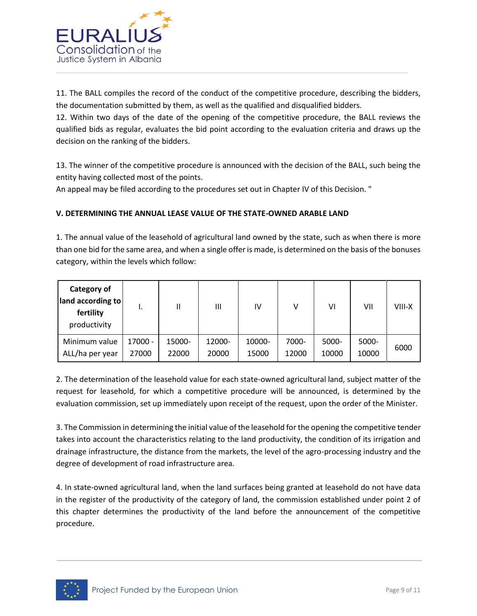

11. The BALL compiles the record of the conduct of the competitive procedure, describing the bidders, the documentation submitted by them, as well as the qualified and disqualified bidders.

12. Within two days of the date of the opening of the competitive procedure, the BALL reviews the qualified bids as regular, evaluates the bid point according to the evaluation criteria and draws up the decision on the ranking of the bidders.

13. The winner of the competitive procedure is announced with the decision of the BALL, such being the entity having collected most of the points.

An appeal may be filed according to the procedures set out in Chapter IV of this Decision. "

## **V. DETERMINING THE ANNUAL LEASE VALUE OF THE STATE-OWNED ARABLE LAND**

1. The annual value of the leasehold of agricultural land owned by the state, such as when there is more than one bid for the same area, and when a single offer is made, is determined on the basis of the bonuses category, within the levels which follow:

| Category of<br>land according to<br>fertility<br>productivity |         |        | Ш      | IV     | v     | VI    | VII   | VIII-X |
|---------------------------------------------------------------|---------|--------|--------|--------|-------|-------|-------|--------|
| Minimum value                                                 | 17000 - | 15000- | 12000- | 10000- | 7000- | 5000- | 5000- | 6000   |
| ALL/ha per year                                               | 27000   | 22000  | 20000  | 15000  | 12000 | 10000 | 10000 |        |

2. The determination of the leasehold value for each state-owned agricultural land, subject matter of the request for leasehold, for which a competitive procedure will be announced, is determined by the evaluation commission, set up immediately upon receipt of the request, upon the order of the Minister.

3. The Commission in determining the initial value of the leasehold for the opening the competitive tender takes into account the characteristics relating to the land productivity, the condition of its irrigation and drainage infrastructure, the distance from the markets, the level of the agro-processing industry and the degree of development of road infrastructure area.

4. In state-owned agricultural land, when the land surfaces being granted at leasehold do not have data in the register of the productivity of the category of land, the commission established under point 2 of this chapter determines the productivity of the land before the announcement of the competitive procedure.

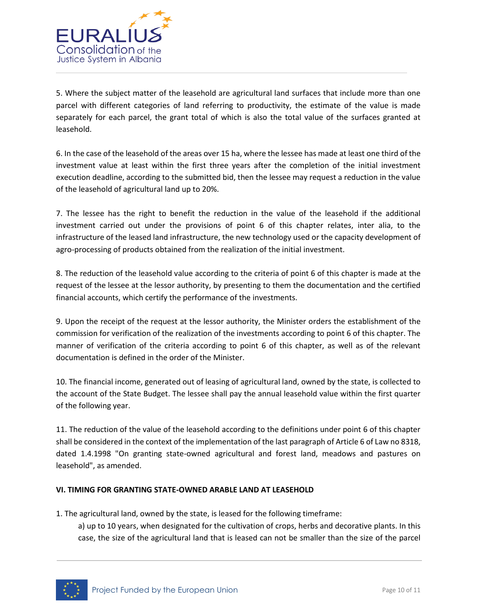

5. Where the subject matter of the leasehold are agricultural land surfaces that include more than one parcel with different categories of land referring to productivity, the estimate of the value is made separately for each parcel, the grant total of which is also the total value of the surfaces granted at leasehold.

6. In the case of the leasehold of the areas over 15 ha, where the lessee has made at least one third of the investment value at least within the first three years after the completion of the initial investment execution deadline, according to the submitted bid, then the lessee may request a reduction in the value of the leasehold of agricultural land up to 20%.

7. The lessee has the right to benefit the reduction in the value of the leasehold if the additional investment carried out under the provisions of point 6 of this chapter relates, inter alia, to the infrastructure of the leased land infrastructure, the new technology used or the capacity development of agro-processing of products obtained from the realization of the initial investment.

8. The reduction of the leasehold value according to the criteria of point 6 of this chapter is made at the request of the lessee at the lessor authority, by presenting to them the documentation and the certified financial accounts, which certify the performance of the investments.

9. Upon the receipt of the request at the lessor authority, the Minister orders the establishment of the commission for verification of the realization of the investments according to point 6 of this chapter. The manner of verification of the criteria according to point 6 of this chapter, as well as of the relevant documentation is defined in the order of the Minister.

10. The financial income, generated out of leasing of agricultural land, owned by the state, is collected to the account of the State Budget. The lessee shall pay the annual leasehold value within the first quarter of the following year.

11. The reduction of the value of the leasehold according to the definitions under point 6 of this chapter shall be considered in the context of the implementation of the last paragraph of Article 6 of Law no 8318, dated 1.4.1998 "On granting state-owned agricultural and forest land, meadows and pastures on leasehold", as amended.

#### **VI. TIMING FOR GRANTING STATE-OWNED ARABLE LAND AT LEASEHOLD**

1. The agricultural land, owned by the state, is leased for the following timeframe:

a) up to 10 years, when designated for the cultivation of crops, herbs and decorative plants. In this case, the size of the agricultural land that is leased can not be smaller than the size of the parcel